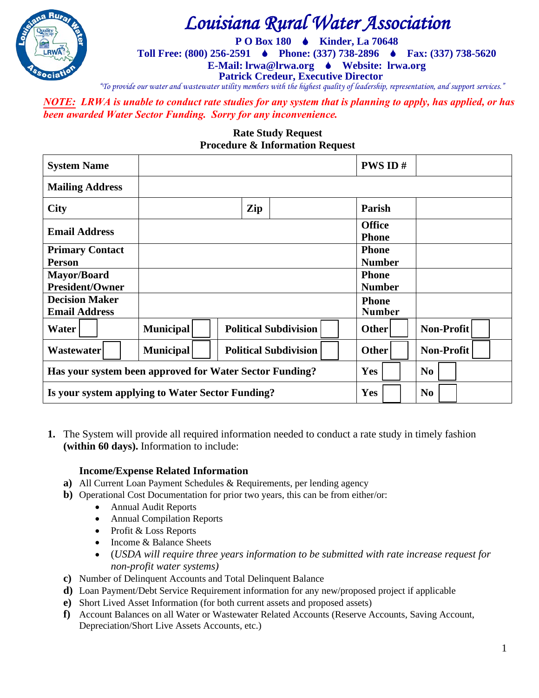

# *Louisiana Rural Water Association*

**P O Box 180 Kinder, La 70648** 

**Toll Free: (800) 256-2591 Phone: (337) 738-2896 Fax: (337) 738-5620** 

**E-Mail: lrwa@lrwa.org Website: lrwa.org**

**Patrick Credeur, Executive Director**

*"To provide our water and wastewater utility members with the highest quality of leadership, representation, and support services."*

*NOTE: LRWA is unable to conduct rate studies for any system that is planning to apply, has applied, or has been awarded Water Sector Funding. Sorry for any inconvenience.* 

#### **Rate Study Request Procedure & Information Request**

| <b>System Name</b>                                      |                  |                              | <b>PWS ID#</b>                |                   |
|---------------------------------------------------------|------------------|------------------------------|-------------------------------|-------------------|
| <b>Mailing Address</b>                                  |                  |                              |                               |                   |
| <b>City</b>                                             |                  | Zip                          | Parish                        |                   |
| <b>Email Address</b>                                    |                  |                              | <b>Office</b><br><b>Phone</b> |                   |
| <b>Primary Contact</b>                                  |                  |                              | <b>Phone</b>                  |                   |
| <b>Person</b>                                           |                  |                              | <b>Number</b>                 |                   |
| Mayor/Board                                             |                  |                              | <b>Phone</b>                  |                   |
| <b>President/Owner</b>                                  |                  |                              | <b>Number</b>                 |                   |
| <b>Decision Maker</b>                                   |                  |                              | <b>Phone</b>                  |                   |
| <b>Email Address</b>                                    |                  |                              | <b>Number</b>                 |                   |
| Water                                                   | <b>Municipal</b> | <b>Political Subdivision</b> | Other                         | Non-Profit        |
| Wastewater                                              | <b>Municipal</b> | <b>Political Subdivision</b> | <b>Other</b>                  | <b>Non-Profit</b> |
| Has your system been approved for Water Sector Funding? |                  |                              | Yes                           | N <sub>0</sub>    |
| Is your system applying to Water Sector Funding?        |                  |                              | Yes                           | N <sub>0</sub>    |

**1.** The System will provide all required information needed to conduct a rate study in timely fashion **(within 60 days).** Information to include:

### **Income/Expense Related Information**

- **a)** All Current Loan Payment Schedules & Requirements, per lending agency
- **b)** Operational Cost Documentation for prior two years, this can be from either/or:
	- Annual Audit Reports
	- Annual Compilation Reports
	- Profit & Loss Reports
	- Income & Balance Sheets
	- (*USDA will require three years information to be submitted with rate increase request for non-profit water systems)*
- **c)** Number of Delinquent Accounts and Total Delinquent Balance
- **d)** Loan Payment/Debt Service Requirement information for any new/proposed project if applicable
- **e)** Short Lived Asset Information (for both current assets and proposed assets)
- **f)** Account Balances on all Water or Wastewater Related Accounts (Reserve Accounts, Saving Account, Depreciation/Short Live Assets Accounts, etc.)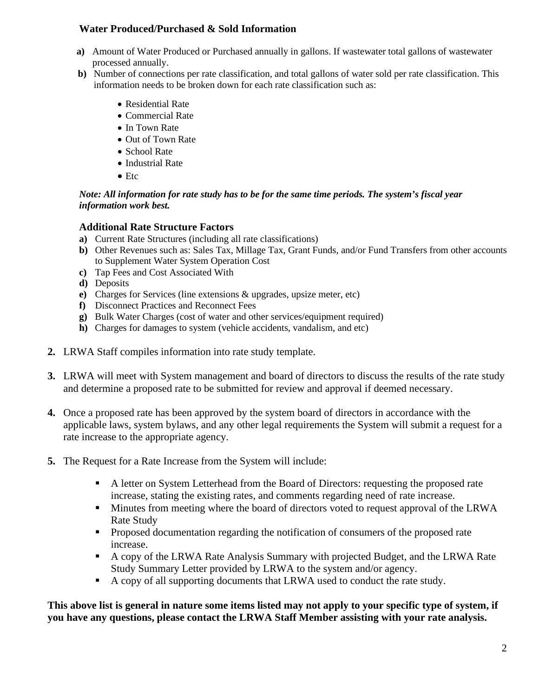## **Water Produced/Purchased & Sold Information**

- **a)** Amount of Water Produced or Purchased annually in gallons. If wastewater total gallons of wastewater processed annually.
- **b)** Number of connections per rate classification, and total gallons of water sold per rate classification. This information needs to be broken down for each rate classification such as:
	- Residential Rate
	- Commercial Rate
	- In Town Rate
	- Out of Town Rate
	- School Rate
	- Industrial Rate
	- Etc

#### *Note: All information for rate study has to be for the same time periods. The system's fiscal year information work best.*

## **Additional Rate Structure Factors**

- **a)** Current Rate Structures (including all rate classifications)
- **b)** Other Revenues such as: Sales Tax, Millage Tax, Grant Funds, and/or Fund Transfers from other accounts to Supplement Water System Operation Cost
- **c)** Tap Fees and Cost Associated With
- **d)** Deposits
- **e)** Charges for Services (line extensions & upgrades, upsize meter, etc)
- **f)** Disconnect Practices and Reconnect Fees
- **g)** Bulk Water Charges (cost of water and other services/equipment required)
- **h)** Charges for damages to system (vehicle accidents, vandalism, and etc)
- **2.** LRWA Staff compiles information into rate study template.
- **3.** LRWA will meet with System management and board of directors to discuss the results of the rate study and determine a proposed rate to be submitted for review and approval if deemed necessary.
- **4.** Once a proposed rate has been approved by the system board of directors in accordance with the applicable laws, system bylaws, and any other legal requirements the System will submit a request for a rate increase to the appropriate agency.
- **5.** The Request for a Rate Increase from the System will include:
	- A letter on System Letterhead from the Board of Directors: requesting the proposed rate increase, stating the existing rates, and comments regarding need of rate increase.
	- Minutes from meeting where the board of directors voted to request approval of the LRWA Rate Study
	- **Proposed documentation regarding the notification of consumers of the proposed rate** increase.
	- A copy of the LRWA Rate Analysis Summary with projected Budget, and the LRWA Rate Study Summary Letter provided by LRWA to the system and/or agency.
	- A copy of all supporting documents that LRWA used to conduct the rate study.

**This above list is general in nature some items listed may not apply to your specific type of system, if you have any questions, please contact the LRWA Staff Member assisting with your rate analysis.**